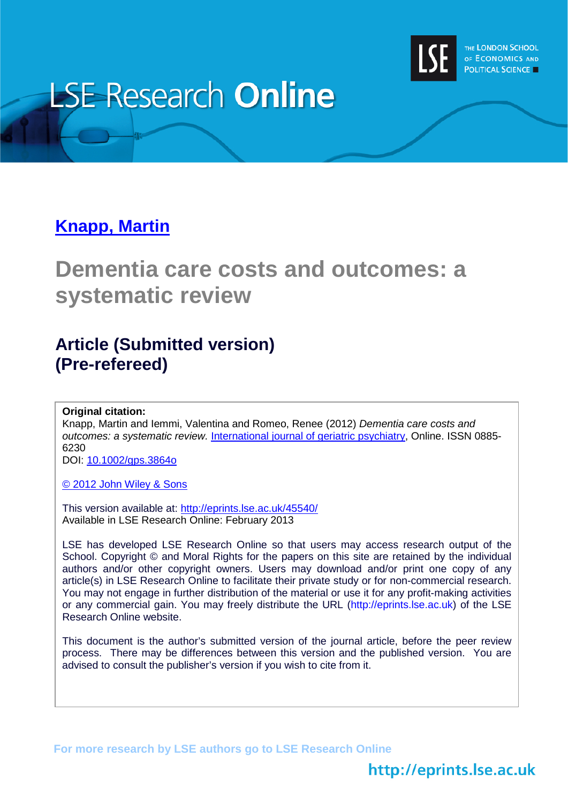

# **LSE Research Online**

# **[Knapp, Martin](http://www2.lse.ac.uk/researchAndExpertise/Experts/profile.aspx?KeyValue=m.knapp@lse.ac.uk)**

# **Dementia care costs and outcomes: a systematic review**

# **Article (Submitted version) (Pre-refereed)**

# **Original citation:**

Knapp, Martin and Iemmi, Valentina and Romeo, Renee (2012) *Dementia care costs and outcomes: a systematic review.* [International journal of geriatric psychiatry,](http://onlinelibrary.wiley.com/journal/10.1002/%28ISSN%291099-1166) Online. ISSN 0885- 6230

DOI: [10.1002/gps.3864o](http://dx.doi.org/10.1002/gps.3864)

© [2012 John Wiley & Sons](http://eu.wiley.com/WileyCDA/Section/index.html)

This version available at:<http://eprints.lse.ac.uk/45540/> Available in LSE Research Online: February 2013

LSE has developed LSE Research Online so that users may access research output of the School. Copyright © and Moral Rights for the papers on this site are retained by the individual authors and/or other copyright owners. Users may download and/or print one copy of any article(s) in LSE Research Online to facilitate their private study or for non-commercial research. You may not engage in further distribution of the material or use it for any profit-making activities or any commercial gain. You may freely distribute the URL (http://eprints.lse.ac.uk) of the LSE Research Online website.

This document is the author's submitted version of the journal article, before the peer review process. There may be differences between this version and the published version. You are advised to consult the publisher's version if you wish to cite from it.

**For more research by LSE authors go to [LSE Research Online](http://eprints.lse.ac.uk/)**

# http://eprints.lse.ac.uk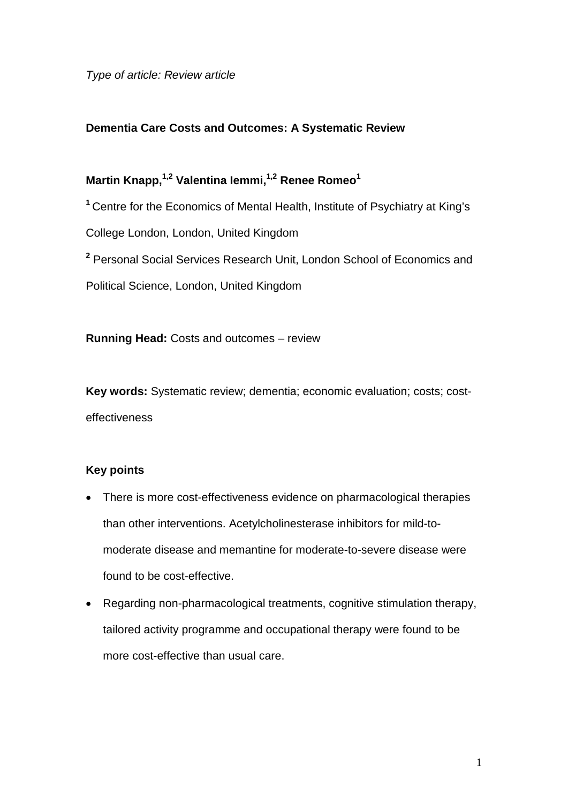*Type of article: Review article*

# **Dementia Care Costs and Outcomes: A Systematic Review**

# **Martin Knapp,**<sup>1,2</sup> Valentina Iemmi,<sup>1,2</sup> Renee Romeo<sup>1</sup>

**<sup>1</sup>**Centre for the Economics of Mental Health, Institute of Psychiatry at King's College London, London, United Kingdom **<sup>2</sup>** Personal Social Services Research Unit, London School of Economics and Political Science, London, United Kingdom

**Running Head:** Costs and outcomes – review

**Key words:** Systematic review; dementia; economic evaluation; costs; costeffectiveness

# **Key points**

- There is more cost-effectiveness evidence on pharmacological therapies than other interventions. Acetylcholinesterase inhibitors for mild-tomoderate disease and memantine for moderate-to-severe disease were found to be cost-effective.
- Regarding non-pharmacological treatments, cognitive stimulation therapy, tailored activity programme and occupational therapy were found to be more cost-effective than usual care.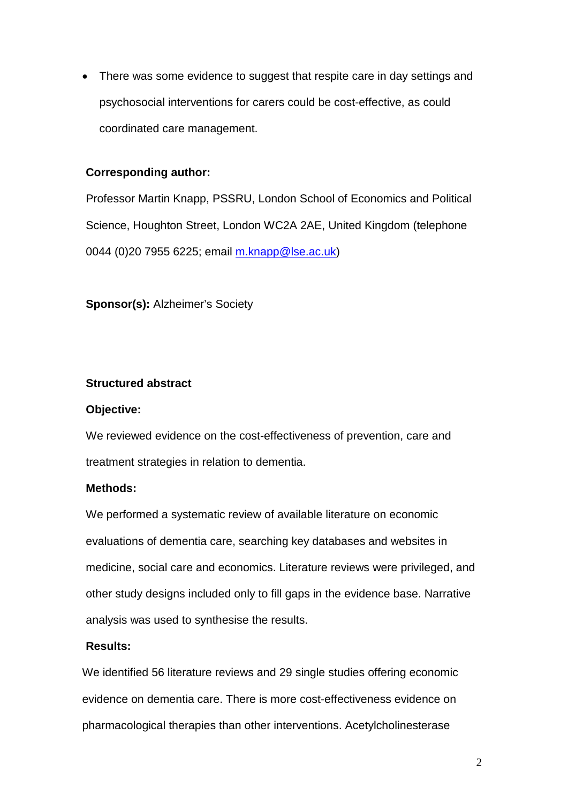• There was some evidence to suggest that respite care in day settings and psychosocial interventions for carers could be cost-effective, as could coordinated care management.

# **Corresponding author:**

Professor Martin Knapp, PSSRU, London School of Economics and Political Science, Houghton Street, London WC2A 2AE, United Kingdom (telephone 0044 (0)20 7955 6225; email [m.knapp@lse.ac.uk\)](mailto:m.knapp@lse.ac.uk)

**Sponsor(s):** Alzheimer's Society

# **Structured abstract**

#### **Objective:**

We reviewed evidence on the cost-effectiveness of prevention, care and treatment strategies in relation to dementia.

#### **Methods:**

We performed a systematic review of available literature on economic evaluations of dementia care, searching key databases and websites in medicine, social care and economics. Literature reviews were privileged, and other study designs included only to fill gaps in the evidence base. Narrative analysis was used to synthesise the results.

# **Results:**

We identified 56 literature reviews and 29 single studies offering economic evidence on dementia care. There is more cost-effectiveness evidence on pharmacological therapies than other interventions. Acetylcholinesterase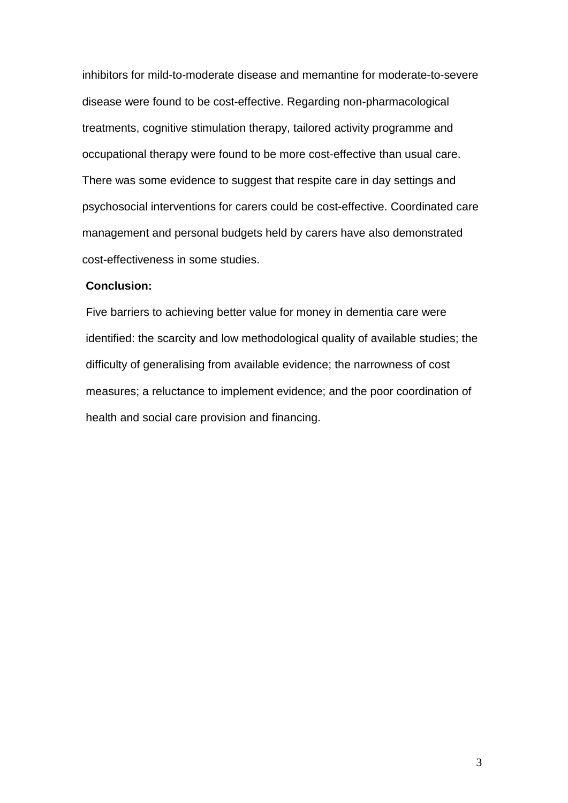inhibitors for mild-to-moderate disease and memantine for moderate-to-severe disease were found to be cost-effective. Regarding non-pharmacological treatments, cognitive stimulation therapy, tailored activity programme and occupational therapy were found to be more cost-effective than usual care. There was some evidence to suggest that respite care in day settings and psychosocial interventions for carers could be cost-effective. Coordinated care management and personal budgets held by carers have also demonstrated cost-effectiveness in some studies.

# **Conclusion:**

Five barriers to achieving better value for money in dementia care were identified: the scarcity and low methodological quality of available studies; the difficulty of generalising from available evidence; the narrowness of cost measures; a reluctance to implement evidence; and the poor coordination of health and social care provision and financing.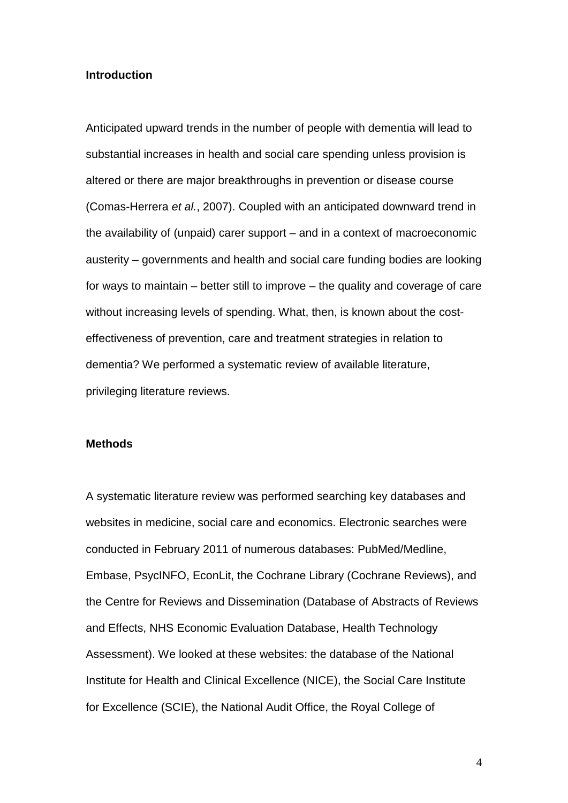# **Introduction**

Anticipated upward trends in the number of people with dementia will lead to substantial increases in health and social care spending unless provision is altered or there are major breakthroughs in prevention or disease course (Comas-Herrera *et al.*, 2007). Coupled with an anticipated downward trend in the availability of (unpaid) carer support – and in a context of macroeconomic austerity – governments and health and social care funding bodies are looking for ways to maintain – better still to improve – the quality and coverage of care without increasing levels of spending. What, then, is known about the costeffectiveness of prevention, care and treatment strategies in relation to dementia? We performed a systematic review of available literature, privileging literature reviews.

#### **Methods**

A systematic literature review was performed searching key databases and websites in medicine, social care and economics. Electronic searches were conducted in February 2011 of numerous databases: PubMed/Medline, Embase, PsycINFO, EconLit, the Cochrane Library (Cochrane Reviews), and the Centre for Reviews and Dissemination (Database of Abstracts of Reviews and Effects, NHS Economic Evaluation Database, Health Technology Assessment). We looked at these websites: the database of the National Institute for Health and Clinical Excellence (NICE), the Social Care Institute for Excellence (SCIE), the National Audit Office, the Royal College of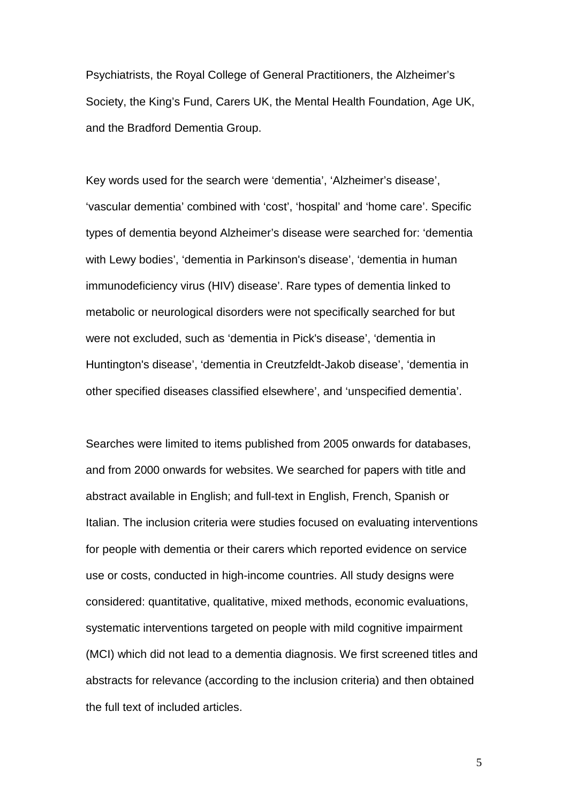Psychiatrists, the Royal College of General Practitioners, the Alzheimer's Society, the King's Fund, Carers UK, the Mental Health Foundation, Age UK, and the Bradford Dementia Group.

Key words used for the search were 'dementia', 'Alzheimer's disease', 'vascular dementia' combined with 'cost', 'hospital' and 'home care'. Specific types of dementia beyond Alzheimer's disease were searched for: 'dementia with Lewy bodies', 'dementia in Parkinson's disease', 'dementia in human immunodeficiency virus (HIV) disease'. Rare types of dementia linked to metabolic or neurological disorders were not specifically searched for but were not excluded, such as 'dementia in Pick's disease', 'dementia in Huntington's disease', 'dementia in Creutzfeldt-Jakob disease', 'dementia in other specified diseases classified elsewhere', and 'unspecified dementia'.

Searches were limited to items published from 2005 onwards for databases, and from 2000 onwards for websites. We searched for papers with title and abstract available in English; and full-text in English, French, Spanish or Italian. The inclusion criteria were studies focused on evaluating interventions for people with dementia or their carers which reported evidence on service use or costs, conducted in high-income countries. All study designs were considered: quantitative, qualitative, mixed methods, economic evaluations, systematic interventions targeted on people with mild cognitive impairment (MCI) which did not lead to a dementia diagnosis. We first screened titles and abstracts for relevance (according to the inclusion criteria) and then obtained the full text of included articles.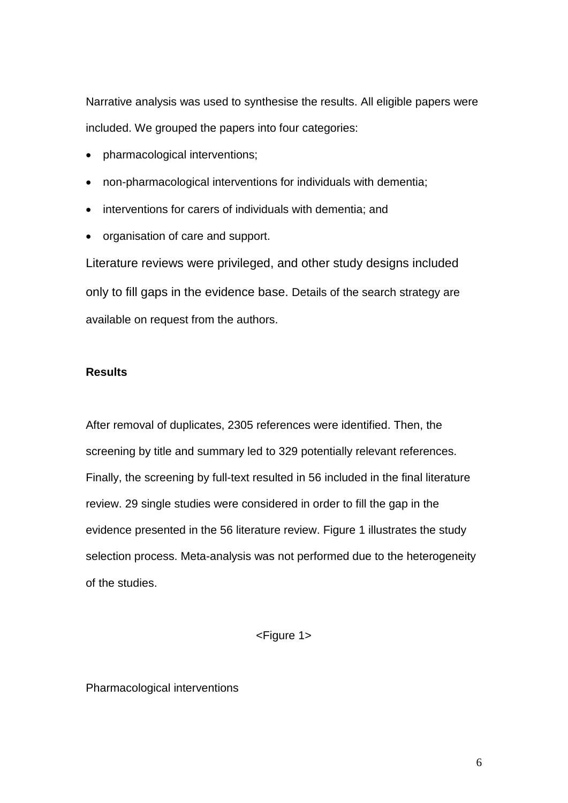Narrative analysis was used to synthesise the results. All eligible papers were included. We grouped the papers into four categories:

- pharmacological interventions;
- non-pharmacological interventions for individuals with dementia;
- interventions for carers of individuals with dementia; and
- organisation of care and support.

Literature reviews were privileged, and other study designs included only to fill gaps in the evidence base. Details of the search strategy are available on request from the authors.

# **Results**

After removal of duplicates, 2305 references were identified. Then, the screening by title and summary led to 329 potentially relevant references. Finally, the screening by full-text resulted in 56 included in the final literature review. 29 single studies were considered in order to fill the gap in the evidence presented in the 56 literature review. Figure 1 illustrates the study selection process. Meta-analysis was not performed due to the heterogeneity of the studies.

# <Figure 1>

Pharmacological interventions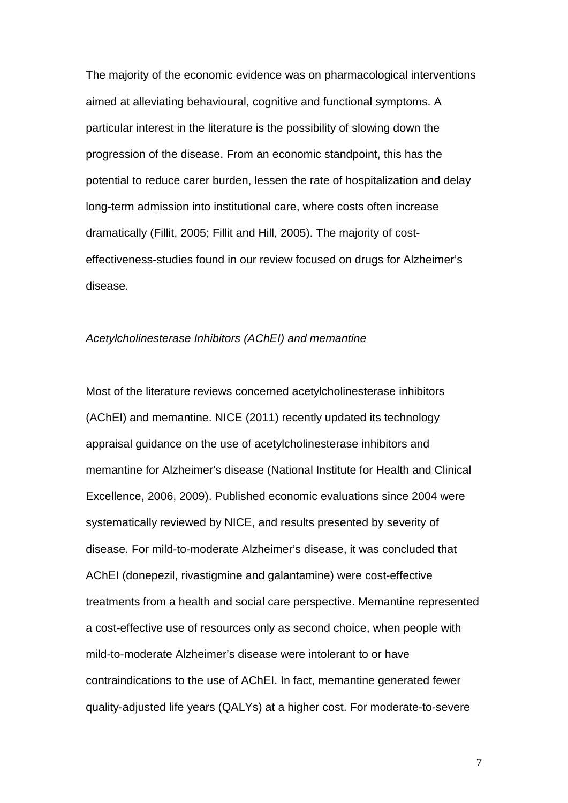The majority of the economic evidence was on pharmacological interventions aimed at alleviating behavioural, cognitive and functional symptoms. A particular interest in the literature is the possibility of slowing down the progression of the disease. From an economic standpoint, this has the potential to reduce carer burden, lessen the rate of hospitalization and delay long-term admission into institutional care, where costs often increase dramatically (Fillit, 2005; Fillit and Hill, 2005). The majority of costeffectiveness-studies found in our review focused on drugs for Alzheimer's disease.

# *Acetylcholinesterase Inhibitors (AChEI) and memantine*

Most of the literature reviews concerned acetylcholinesterase inhibitors (AChEI) and memantine. NICE (2011) recently updated its technology appraisal guidance on the use of acetylcholinesterase inhibitors and memantine for Alzheimer's disease (National Institute for Health and Clinical Excellence, 2006, 2009). Published economic evaluations since 2004 were systematically reviewed by NICE, and results presented by severity of disease. For mild-to-moderate Alzheimer's disease, it was concluded that AChEI (donepezil, rivastigmine and galantamine) were cost-effective treatments from a health and social care perspective. Memantine represented a cost-effective use of resources only as second choice, when people with mild-to-moderate Alzheimer's disease were intolerant to or have contraindications to the use of AChEI. In fact, memantine generated fewer quality-adjusted life years (QALYs) at a higher cost. For moderate-to-severe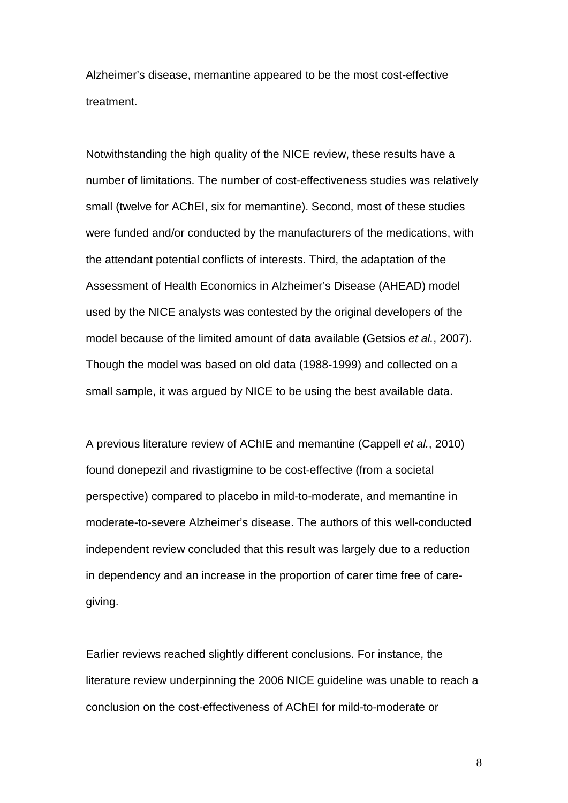Alzheimer's disease, memantine appeared to be the most cost-effective treatment.

Notwithstanding the high quality of the NICE review, these results have a number of limitations. The number of cost-effectiveness studies was relatively small (twelve for AChEI, six for memantine). Second, most of these studies were funded and/or conducted by the manufacturers of the medications, with the attendant potential conflicts of interests. Third, the adaptation of the Assessment of Health Economics in Alzheimer's Disease (AHEAD) model used by the NICE analysts was contested by the original developers of the model because of the limited amount of data available (Getsios *et al.*, 2007). Though the model was based on old data (1988-1999) and collected on a small sample, it was argued by NICE to be using the best available data.

A previous literature review of AChIE and memantine (Cappell *et al.*, 2010) found donepezil and rivastigmine to be cost-effective (from a societal perspective) compared to placebo in mild-to-moderate, and memantine in moderate-to-severe Alzheimer's disease. The authors of this well-conducted independent review concluded that this result was largely due to a reduction in dependency and an increase in the proportion of carer time free of caregiving.

Earlier reviews reached slightly different conclusions. For instance, the literature review underpinning the 2006 NICE guideline was unable to reach a conclusion on the cost-effectiveness of AChEI for mild-to-moderate or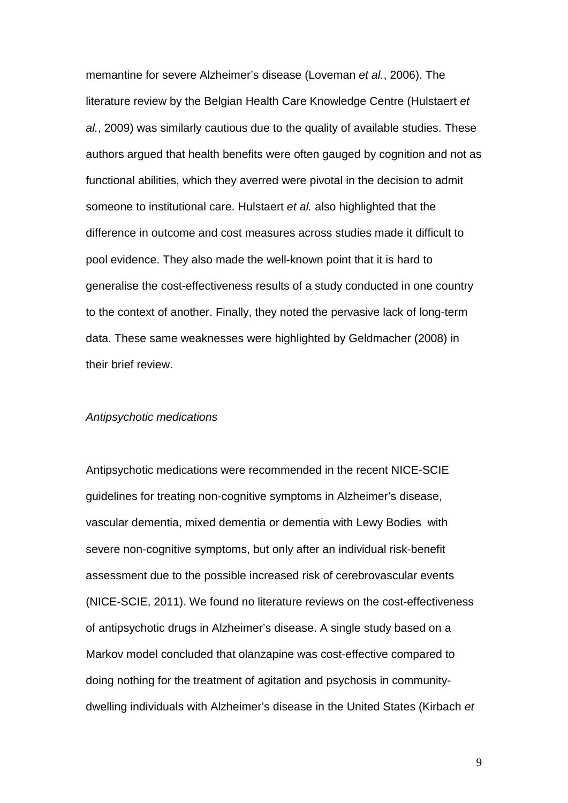memantine for severe Alzheimer's disease (Loveman *et al.*, 2006). The literature review by the Belgian Health Care Knowledge Centre (Hulstaert *et al.*, 2009) was similarly cautious due to the quality of available studies. These authors argued that health benefits were often gauged by cognition and not as functional abilities, which they averred were pivotal in the decision to admit someone to institutional care. Hulstaert *et al.* also highlighted that the difference in outcome and cost measures across studies made it difficult to pool evidence. They also made the well-known point that it is hard to generalise the cost-effectiveness results of a study conducted in one country to the context of another. Finally, they noted the pervasive lack of long-term data. These same weaknesses were highlighted by Geldmacher (2008) in their brief review.

#### *Antipsychotic medications*

Antipsychotic medications were recommended in the recent NICE-SCIE guidelines for treating non-cognitive symptoms in Alzheimer's disease, vascular dementia, mixed dementia or dementia with Lewy Bodies with severe non-cognitive symptoms, but only after an individual risk-benefit assessment due to the possible increased risk of cerebrovascular events (NICE-SCIE, 2011). We found no literature reviews on the cost-effectiveness of antipsychotic drugs in Alzheimer's disease. A single study based on a Markov model concluded that olanzapine was cost-effective compared to doing nothing for the treatment of agitation and psychosis in communitydwelling individuals with Alzheimer's disease in the United States (Kirbach *et*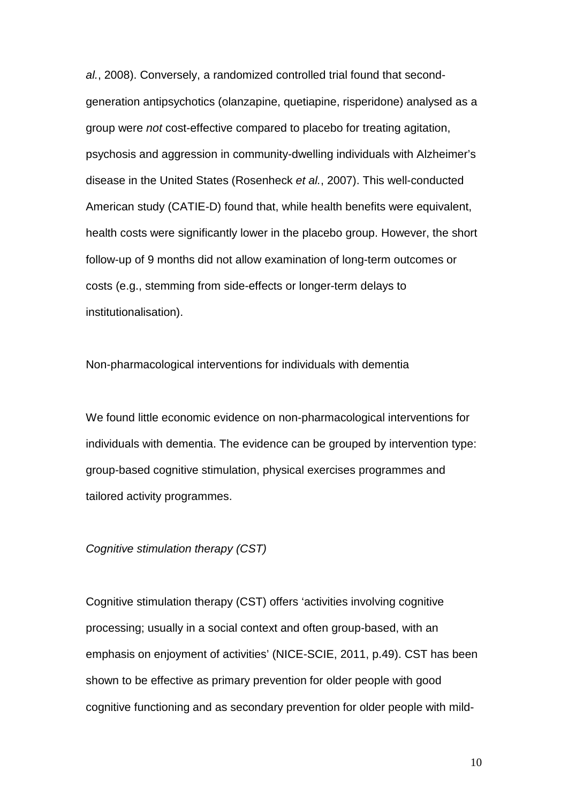*al.*, 2008). Conversely, a randomized controlled trial found that secondgeneration antipsychotics (olanzapine, quetiapine, risperidone) analysed as a group were *not* cost-effective compared to placebo for treating agitation, psychosis and aggression in community-dwelling individuals with Alzheimer's disease in the United States (Rosenheck *et al.*, 2007). This well-conducted American study (CATIE-D) found that, while health benefits were equivalent, health costs were significantly lower in the placebo group. However, the short follow-up of 9 months did not allow examination of long-term outcomes or costs (e.g., stemming from side-effects or longer-term delays to institutionalisation).

Non-pharmacological interventions for individuals with dementia

We found little economic evidence on non-pharmacological interventions for individuals with dementia. The evidence can be grouped by intervention type: group-based cognitive stimulation, physical exercises programmes and tailored activity programmes.

#### *Cognitive stimulation therapy (CST)*

Cognitive stimulation therapy (CST) offers 'activities involving cognitive processing; usually in a social context and often group-based, with an emphasis on enjoyment of activities' (NICE-SCIE, 2011, p.49). CST has been shown to be effective as primary prevention for older people with good cognitive functioning and as secondary prevention for older people with mild-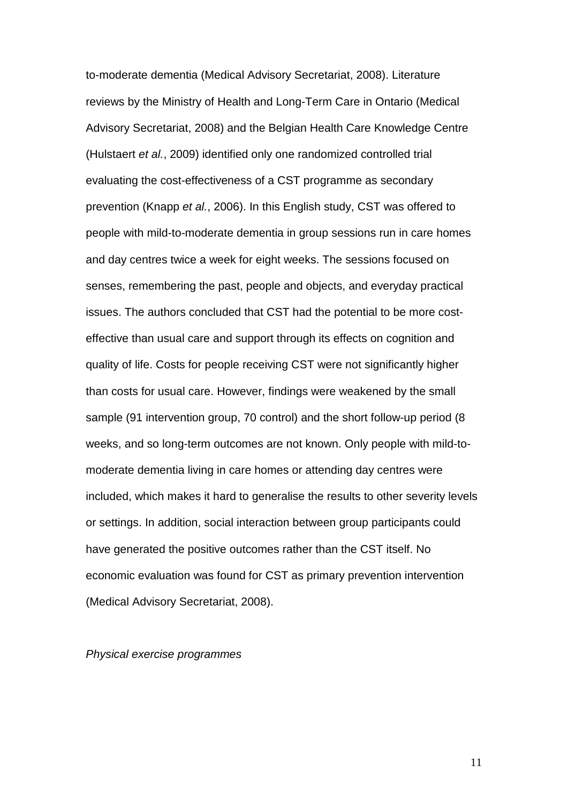to-moderate dementia (Medical Advisory Secretariat, 2008). Literature reviews by the Ministry of Health and Long-Term Care in Ontario (Medical Advisory Secretariat, 2008) and the Belgian Health Care Knowledge Centre (Hulstaert *et al.*, 2009) identified only one randomized controlled trial evaluating the cost-effectiveness of a CST programme as secondary prevention (Knapp *et al.*, 2006). In this English study, CST was offered to people with mild-to-moderate dementia in group sessions run in care homes and day centres twice a week for eight weeks. The sessions focused on senses, remembering the past, people and objects, and everyday practical issues. The authors concluded that CST had the potential to be more costeffective than usual care and support through its effects on cognition and quality of life. Costs for people receiving CST were not significantly higher than costs for usual care. However, findings were weakened by the small sample (91 intervention group, 70 control) and the short follow-up period (8 weeks, and so long-term outcomes are not known. Only people with mild-tomoderate dementia living in care homes or attending day centres were included, which makes it hard to generalise the results to other severity levels or settings. In addition, social interaction between group participants could have generated the positive outcomes rather than the CST itself. No economic evaluation was found for CST as primary prevention intervention (Medical Advisory Secretariat, 2008).

*Physical exercise programmes*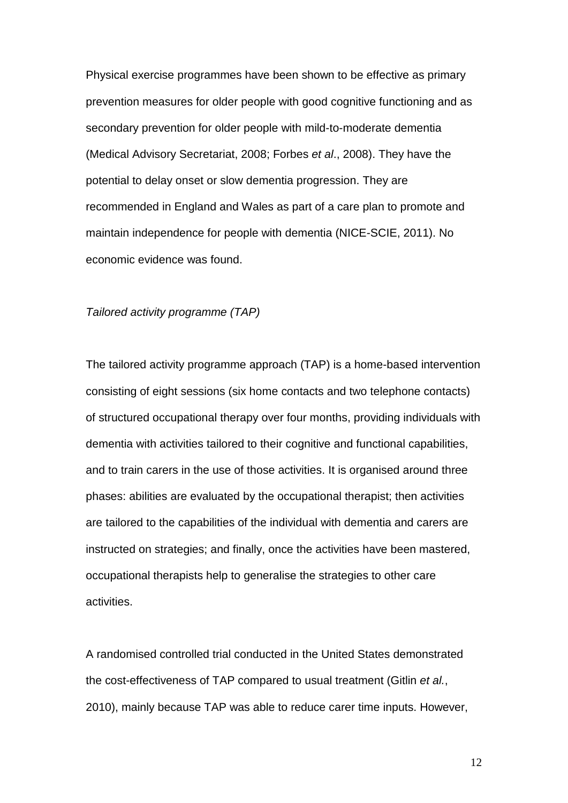Physical exercise programmes have been shown to be effective as primary prevention measures for older people with good cognitive functioning and as secondary prevention for older people with mild-to-moderate dementia (Medical Advisory Secretariat, 2008; Forbes *et al*., 2008). They have the potential to delay onset or slow dementia progression. They are recommended in England and Wales as part of a care plan to promote and maintain independence for people with dementia (NICE-SCIE, 2011). No economic evidence was found.

# *Tailored activity programme (TAP)*

The tailored activity programme approach (TAP) is a home-based intervention consisting of eight sessions (six home contacts and two telephone contacts) of structured occupational therapy over four months, providing individuals with dementia with activities tailored to their cognitive and functional capabilities, and to train carers in the use of those activities. It is organised around three phases: abilities are evaluated by the occupational therapist; then activities are tailored to the capabilities of the individual with dementia and carers are instructed on strategies; and finally, once the activities have been mastered, occupational therapists help to generalise the strategies to other care activities.

A randomised controlled trial conducted in the United States demonstrated the cost-effectiveness of TAP compared to usual treatment (Gitlin *et al.*, 2010), mainly because TAP was able to reduce carer time inputs. However,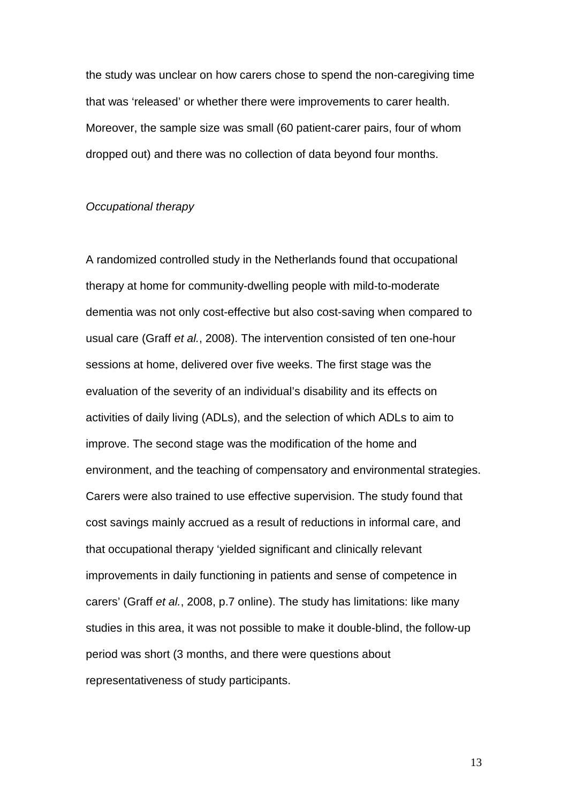the study was unclear on how carers chose to spend the non-caregiving time that was 'released' or whether there were improvements to carer health. Moreover, the sample size was small (60 patient-carer pairs, four of whom dropped out) and there was no collection of data beyond four months.

# *Occupational therapy*

A randomized controlled study in the Netherlands found that occupational therapy at home for community-dwelling people with mild-to-moderate dementia was not only cost-effective but also cost-saving when compared to usual care (Graff *et al.*, 2008). The intervention consisted of ten one-hour sessions at home, delivered over five weeks. The first stage was the evaluation of the severity of an individual's disability and its effects on activities of daily living (ADLs), and the selection of which ADLs to aim to improve. The second stage was the modification of the home and environment, and the teaching of compensatory and environmental strategies. Carers were also trained to use effective supervision. The study found that cost savings mainly accrued as a result of reductions in informal care, and that occupational therapy 'yielded significant and clinically relevant improvements in daily functioning in patients and sense of competence in carers' (Graff *et al.*, 2008, p.7 online). The study has limitations: like many studies in this area, it was not possible to make it double-blind, the follow-up period was short (3 months, and there were questions about representativeness of study participants.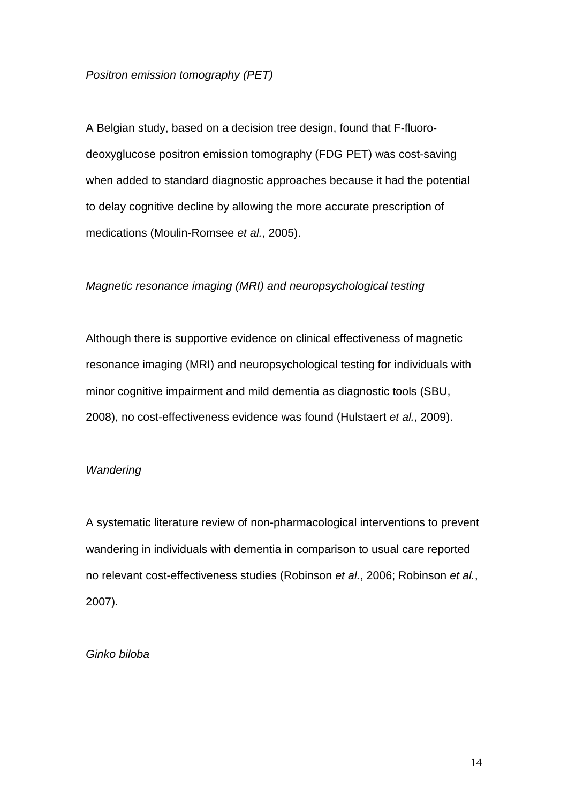# *Positron emission tomography (PET)*

A Belgian study, based on a decision tree design, found that F-fluorodeoxyglucose positron emission tomography (FDG PET) was cost-saving when added to standard diagnostic approaches because it had the potential to delay cognitive decline by allowing the more accurate prescription of medications (Moulin-Romsee *et al.*, 2005).

# *Magnetic resonance imaging (MRI) and neuropsychological testing*

Although there is supportive evidence on clinical effectiveness of magnetic resonance imaging (MRI) and neuropsychological testing for individuals with minor cognitive impairment and mild dementia as diagnostic tools (SBU, 2008), no cost-effectiveness evidence was found (Hulstaert *et al.*, 2009).

# *Wandering*

A systematic literature review of non-pharmacological interventions to prevent wandering in individuals with dementia in comparison to usual care reported no relevant cost-effectiveness studies (Robinson *et al.*, 2006; Robinson *et al.*, 2007).

# *Ginko biloba*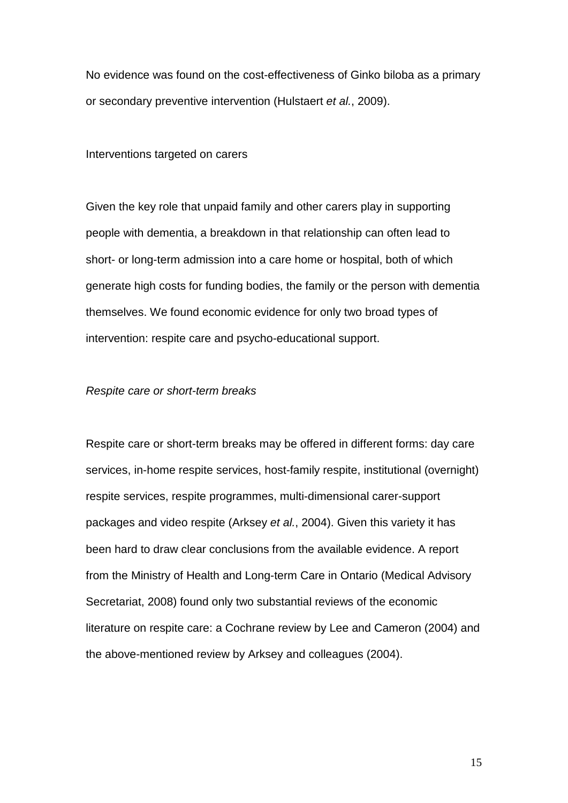No evidence was found on the cost-effectiveness of Ginko biloba as a primary or secondary preventive intervention (Hulstaert *et al.*, 2009).

Interventions targeted on carers

Given the key role that unpaid family and other carers play in supporting people with dementia, a breakdown in that relationship can often lead to short- or long-term admission into a care home or hospital, both of which generate high costs for funding bodies, the family or the person with dementia themselves. We found economic evidence for only two broad types of intervention: respite care and psycho-educational support.

# *Respite care or short-term breaks*

Respite care or short-term breaks may be offered in different forms: day care services, in-home respite services, host-family respite, institutional (overnight) respite services, respite programmes, multi-dimensional carer-support packages and video respite (Arksey *et al.*, 2004). Given this variety it has been hard to draw clear conclusions from the available evidence. A report from the Ministry of Health and Long-term Care in Ontario (Medical Advisory Secretariat, 2008) found only two substantial reviews of the economic literature on respite care: a Cochrane review by Lee and Cameron (2004) and the above-mentioned review by Arksey and colleagues (2004).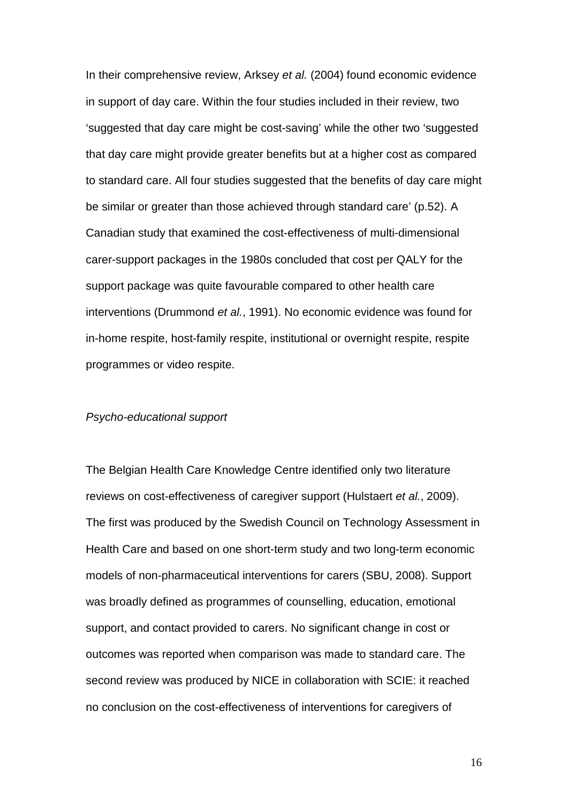In their comprehensive review, Arksey *et al.* (2004) found economic evidence in support of day care. Within the four studies included in their review, two 'suggested that day care might be cost-saving' while the other two 'suggested that day care might provide greater benefits but at a higher cost as compared to standard care. All four studies suggested that the benefits of day care might be similar or greater than those achieved through standard care' (p.52). A Canadian study that examined the cost-effectiveness of multi-dimensional carer-support packages in the 1980s concluded that cost per QALY for the support package was quite favourable compared to other health care interventions (Drummond *et al.*, 1991). No economic evidence was found for in-home respite, host-family respite, institutional or overnight respite, respite programmes or video respite.

#### *Psycho-educational support*

The Belgian Health Care Knowledge Centre identified only two literature reviews on cost-effectiveness of caregiver support (Hulstaert *et al.*, 2009). The first was produced by the Swedish Council on Technology Assessment in Health Care and based on one short-term study and two long-term economic models of non-pharmaceutical interventions for carers (SBU, 2008). Support was broadly defined as programmes of counselling, education, emotional support, and contact provided to carers. No significant change in cost or outcomes was reported when comparison was made to standard care. The second review was produced by NICE in collaboration with SCIE: it reached no conclusion on the cost-effectiveness of interventions for caregivers of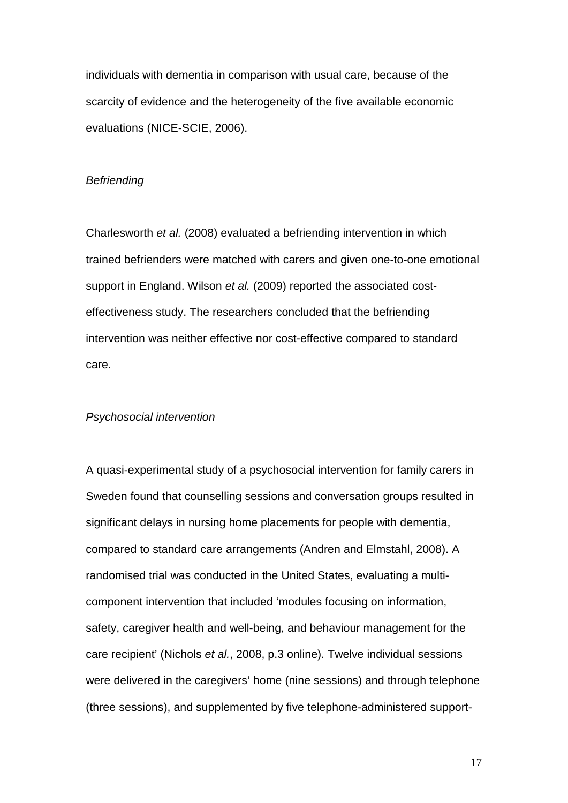individuals with dementia in comparison with usual care, because of the scarcity of evidence and the heterogeneity of the five available economic evaluations (NICE-SCIE, 2006).

#### *Befriending*

Charlesworth *et al.* (2008) evaluated a befriending intervention in which trained befrienders were matched with carers and given one-to-one emotional support in England. Wilson *et al.* (2009) reported the associated costeffectiveness study. The researchers concluded that the befriending intervention was neither effective nor cost-effective compared to standard care.

#### *Psychosocial intervention*

A quasi-experimental study of a psychosocial intervention for family carers in Sweden found that counselling sessions and conversation groups resulted in significant delays in nursing home placements for people with dementia, compared to standard care arrangements (Andren and Elmstahl, 2008). A randomised trial was conducted in the United States, evaluating a multicomponent intervention that included 'modules focusing on information, safety, caregiver health and well-being, and behaviour management for the care recipient' (Nichols *et al.*, 2008, p.3 online). Twelve individual sessions were delivered in the caregivers' home (nine sessions) and through telephone (three sessions), and supplemented by five telephone-administered support-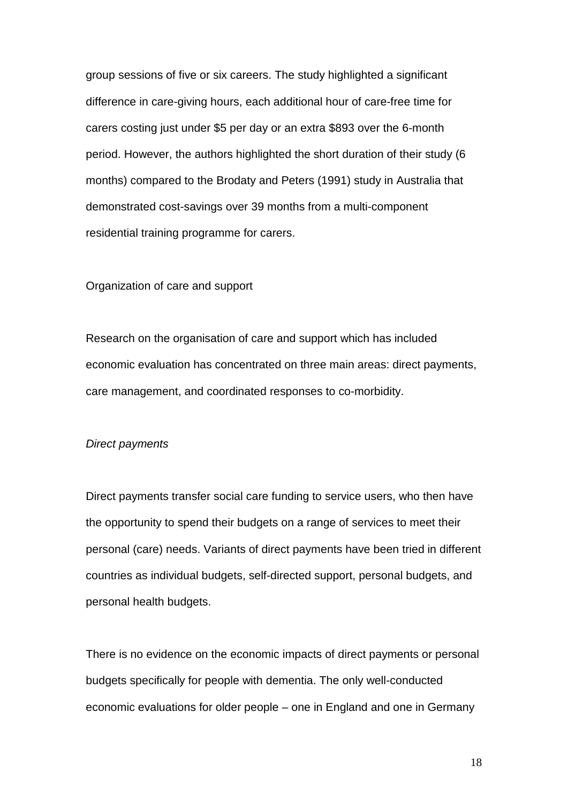group sessions of five or six careers. The study highlighted a significant difference in care-giving hours, each additional hour of care-free time for carers costing just under \$5 per day or an extra \$893 over the 6-month period. However, the authors highlighted the short duration of their study (6 months) compared to the Brodaty and Peters (1991) study in Australia that demonstrated cost-savings over 39 months from a multi-component residential training programme for carers.

#### Organization of care and support

Research on the organisation of care and support which has included economic evaluation has concentrated on three main areas: direct payments, care management, and coordinated responses to co-morbidity.

#### *Direct payments*

Direct payments transfer social care funding to service users, who then have the opportunity to spend their budgets on a range of services to meet their personal (care) needs. Variants of direct payments have been tried in different countries as individual budgets, self-directed support, personal budgets, and personal health budgets.

There is no evidence on the economic impacts of direct payments or personal budgets specifically for people with dementia. The only well-conducted economic evaluations for older people – one in England and one in Germany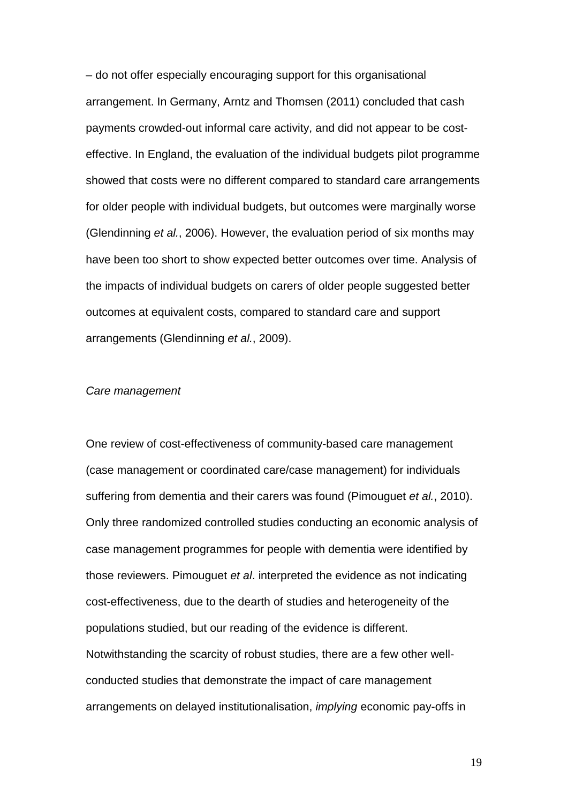– do not offer especially encouraging support for this organisational arrangement. In Germany, Arntz and Thomsen (2011) concluded that cash payments crowded-out informal care activity, and did not appear to be costeffective. In England, the evaluation of the individual budgets pilot programme showed that costs were no different compared to standard care arrangements for older people with individual budgets, but outcomes were marginally worse (Glendinning *et al.*, 2006). However, the evaluation period of six months may have been too short to show expected better outcomes over time. Analysis of the impacts of individual budgets on carers of older people suggested better outcomes at equivalent costs, compared to standard care and support arrangements (Glendinning *et al.*, 2009).

#### *Care management*

One review of cost-effectiveness of community-based care management (case management or coordinated care/case management) for individuals suffering from dementia and their carers was found (Pimouguet *et al.*, 2010). Only three randomized controlled studies conducting an economic analysis of case management programmes for people with dementia were identified by those reviewers. Pimouguet *et al*. interpreted the evidence as not indicating cost-effectiveness, due to the dearth of studies and heterogeneity of the populations studied, but our reading of the evidence is different. Notwithstanding the scarcity of robust studies, there are a few other wellconducted studies that demonstrate the impact of care management arrangements on delayed institutionalisation, *implying* economic pay-offs in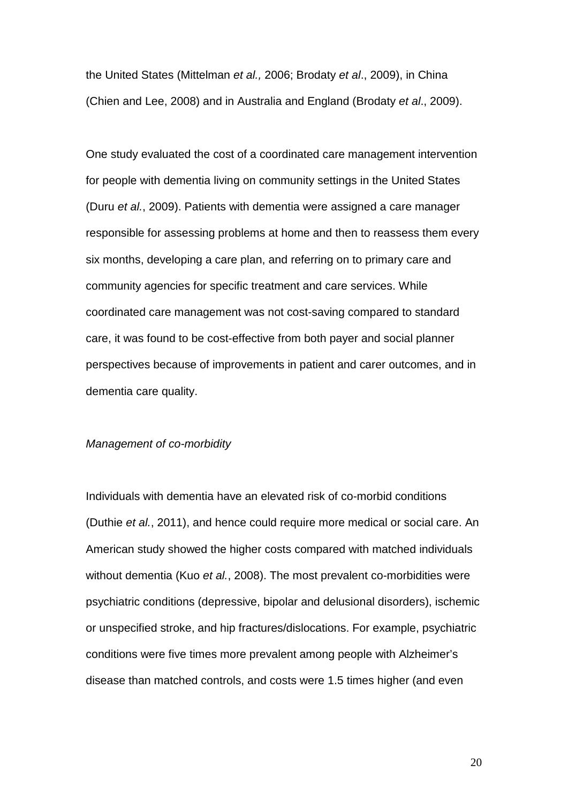the United States (Mittelman *et al.,* 2006; Brodaty *et al*., 2009), in China (Chien and Lee, 2008) and in Australia and England (Brodaty *et al*., 2009).

One study evaluated the cost of a coordinated care management intervention for people with dementia living on community settings in the United States (Duru *et al.*, 2009). Patients with dementia were assigned a care manager responsible for assessing problems at home and then to reassess them every six months, developing a care plan, and referring on to primary care and community agencies for specific treatment and care services. While coordinated care management was not cost-saving compared to standard care, it was found to be cost-effective from both payer and social planner perspectives because of improvements in patient and carer outcomes, and in dementia care quality.

# *Management of co-morbidity*

Individuals with dementia have an elevated risk of co-morbid conditions (Duthie *et al.*, 2011), and hence could require more medical or social care. An American study showed the higher costs compared with matched individuals without dementia (Kuo *et al.*, 2008). The most prevalent co-morbidities were psychiatric conditions (depressive, bipolar and delusional disorders), ischemic or unspecified stroke, and hip fractures/dislocations. For example, psychiatric conditions were five times more prevalent among people with Alzheimer's disease than matched controls, and costs were 1.5 times higher (and even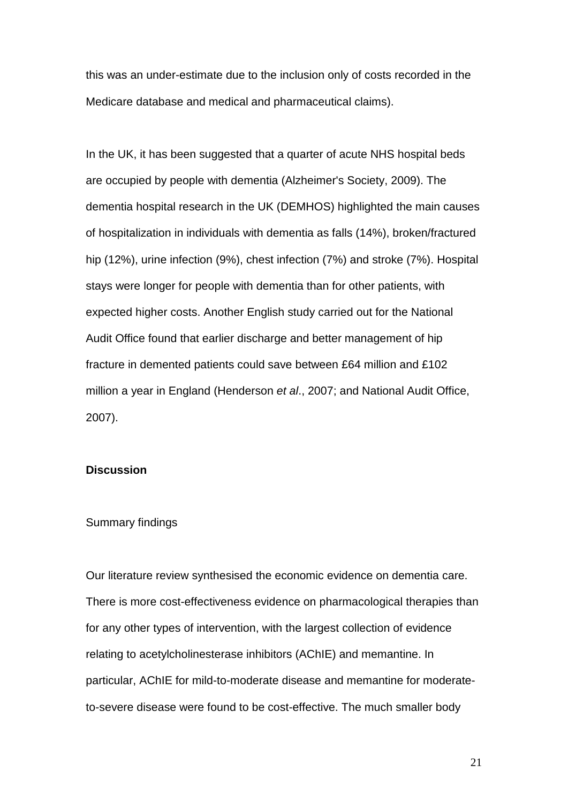this was an under-estimate due to the inclusion only of costs recorded in the Medicare database and medical and pharmaceutical claims).

In the UK, it has been suggested that a quarter of acute NHS hospital beds are occupied by people with dementia (Alzheimer's Society, 2009). The dementia hospital research in the UK (DEMHOS) highlighted the main causes of hospitalization in individuals with dementia as falls (14%), broken/fractured hip (12%), urine infection (9%), chest infection (7%) and stroke (7%). Hospital stays were longer for people with dementia than for other patients, with expected higher costs. Another English study carried out for the National Audit Office found that earlier discharge and better management of hip fracture in demented patients could save between £64 million and £102 million a year in England (Henderson *et al*., 2007; and National Audit Office, 2007).

# **Discussion**

#### Summary findings

Our literature review synthesised the economic evidence on dementia care. There is more cost-effectiveness evidence on pharmacological therapies than for any other types of intervention, with the largest collection of evidence relating to acetylcholinesterase inhibitors (AChIE) and memantine. In particular, AChIE for mild-to-moderate disease and memantine for moderateto-severe disease were found to be cost-effective. The much smaller body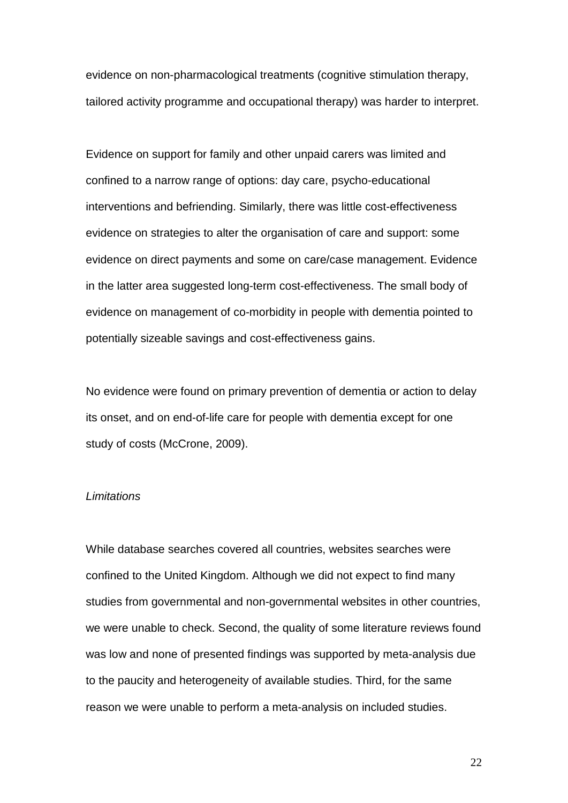evidence on non-pharmacological treatments (cognitive stimulation therapy, tailored activity programme and occupational therapy) was harder to interpret.

Evidence on support for family and other unpaid carers was limited and confined to a narrow range of options: day care, psycho-educational interventions and befriending. Similarly, there was little cost-effectiveness evidence on strategies to alter the organisation of care and support: some evidence on direct payments and some on care/case management. Evidence in the latter area suggested long-term cost-effectiveness. The small body of evidence on management of co-morbidity in people with dementia pointed to potentially sizeable savings and cost-effectiveness gains.

No evidence were found on primary prevention of dementia or action to delay its onset, and on end-of-life care for people with dementia except for one study of costs (McCrone, 2009).

# *Limitations*

While database searches covered all countries, websites searches were confined to the United Kingdom. Although we did not expect to find many studies from governmental and non-governmental websites in other countries, we were unable to check. Second, the quality of some literature reviews found was low and none of presented findings was supported by meta-analysis due to the paucity and heterogeneity of available studies. Third, for the same reason we were unable to perform a meta-analysis on included studies.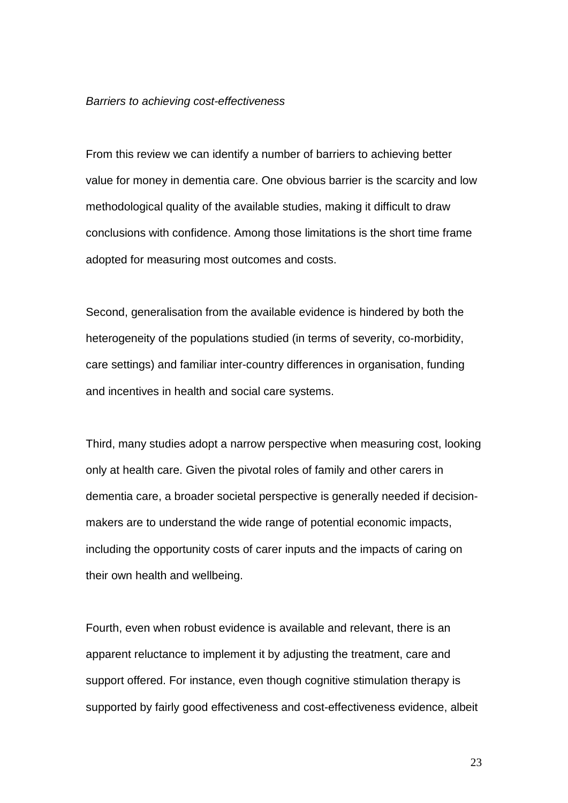#### *Barriers to achieving cost-effectiveness*

From this review we can identify a number of barriers to achieving better value for money in dementia care. One obvious barrier is the scarcity and low methodological quality of the available studies, making it difficult to draw conclusions with confidence. Among those limitations is the short time frame adopted for measuring most outcomes and costs.

Second, generalisation from the available evidence is hindered by both the heterogeneity of the populations studied (in terms of severity, co-morbidity, care settings) and familiar inter-country differences in organisation, funding and incentives in health and social care systems.

Third, many studies adopt a narrow perspective when measuring cost, looking only at health care. Given the pivotal roles of family and other carers in dementia care, a broader societal perspective is generally needed if decisionmakers are to understand the wide range of potential economic impacts, including the opportunity costs of carer inputs and the impacts of caring on their own health and wellbeing.

Fourth, even when robust evidence is available and relevant, there is an apparent reluctance to implement it by adjusting the treatment, care and support offered. For instance, even though cognitive stimulation therapy is supported by fairly good effectiveness and cost-effectiveness evidence, albeit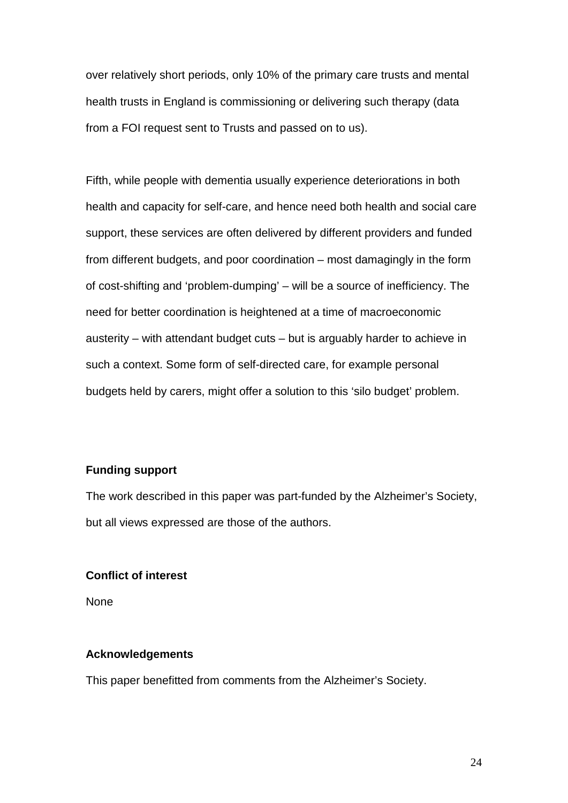over relatively short periods, only 10% of the primary care trusts and mental health trusts in England is commissioning or delivering such therapy (data from a FOI request sent to Trusts and passed on to us).

Fifth, while people with dementia usually experience deteriorations in both health and capacity for self-care, and hence need both health and social care support, these services are often delivered by different providers and funded from different budgets, and poor coordination – most damagingly in the form of cost-shifting and 'problem-dumping' – will be a source of inefficiency. The need for better coordination is heightened at a time of macroeconomic austerity – with attendant budget cuts – but is arguably harder to achieve in such a context. Some form of self-directed care, for example personal budgets held by carers, might offer a solution to this 'silo budget' problem.

#### **Funding support**

The work described in this paper was part-funded by the Alzheimer's Society, but all views expressed are those of the authors.

# **Conflict of interest**

None

# **Acknowledgements**

This paper benefitted from comments from the Alzheimer's Society.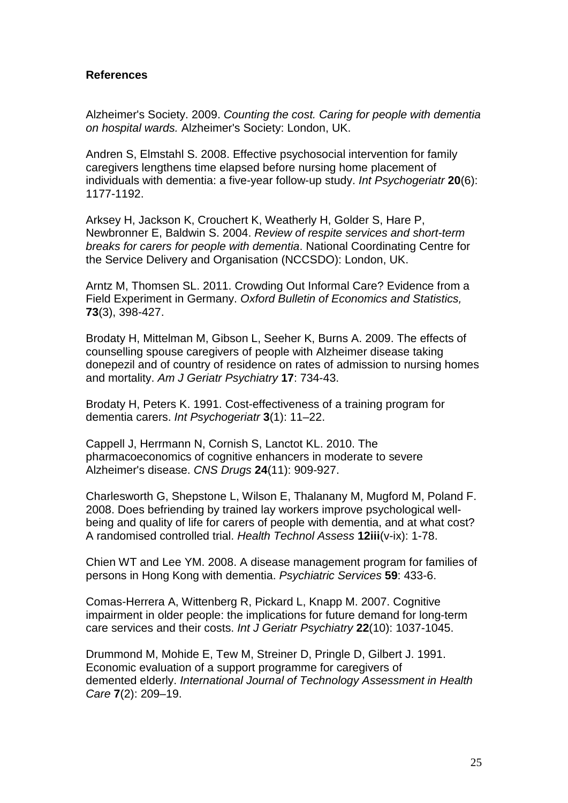# **References**

Alzheimer's Society. 2009. *Counting the cost. Caring for people with dementia on hospital wards.* Alzheimer's Society: London, UK.

Andren S, Elmstahl S. 2008. Effective psychosocial intervention for family caregivers lengthens time elapsed before nursing home placement of individuals with dementia: a five-year follow-up study. *Int Psychogeriatr* **20**(6): 1177-1192.

Arksey H, Jackson K, Crouchert K, Weatherly H, Golder S, Hare P, Newbronner E, Baldwin S. 2004. *Review of respite services and short-term breaks for carers for people with dementia*. National Coordinating Centre for the Service Delivery and Organisation (NCCSDO): London, UK.

Arntz M, Thomsen SL. 2011. Crowding Out Informal Care? Evidence from a Field Experiment in Germany. *Oxford Bulletin of Economics and Statistics,*  **73**(3), 398-427.

Brodaty H, Mittelman M, Gibson L, Seeher K, Burns A. 2009. The effects of counselling spouse caregivers of people with Alzheimer disease taking donepezil and of country of residence on rates of admission to nursing homes and mortality. *Am J Geriatr Psychiatry* **17**: 734-43.

Brodaty H, Peters K. 1991. Cost-effectiveness of a training program for dementia carers. *Int Psychogeriatr* **3**(1): 11–22.

Cappell J, Herrmann N, Cornish S, Lanctot KL. 2010. The pharmacoeconomics of cognitive enhancers in moderate to severe Alzheimer's disease. *CNS Drugs* **24**(11): 909-927.

Charlesworth G, Shepstone L, Wilson E, Thalanany M, Mugford M, Poland F. 2008. Does befriending by trained lay workers improve psychological wellbeing and quality of life for carers of people with dementia, and at what cost? A randomised controlled trial. *Health Technol Assess* **12iii**(v-ix): 1-78.

Chien WT and Lee YM. 2008. A disease management program for families of persons in Hong Kong with dementia. *Psychiatric Services* **59**: 433-6.

Comas-Herrera A, Wittenberg R, Pickard L, Knapp M. 2007. Cognitive impairment in older people: the implications for future demand for long-term care services and their costs. *Int J Geriatr Psychiatry* **22**(10): 1037-1045.

Drummond M, Mohide E, Tew M, Streiner D, Pringle D, Gilbert J. 1991. Economic evaluation of a support programme for caregivers of demented elderly. *International Journal of Technology Assessment in Health Care* **7**(2): 209–19.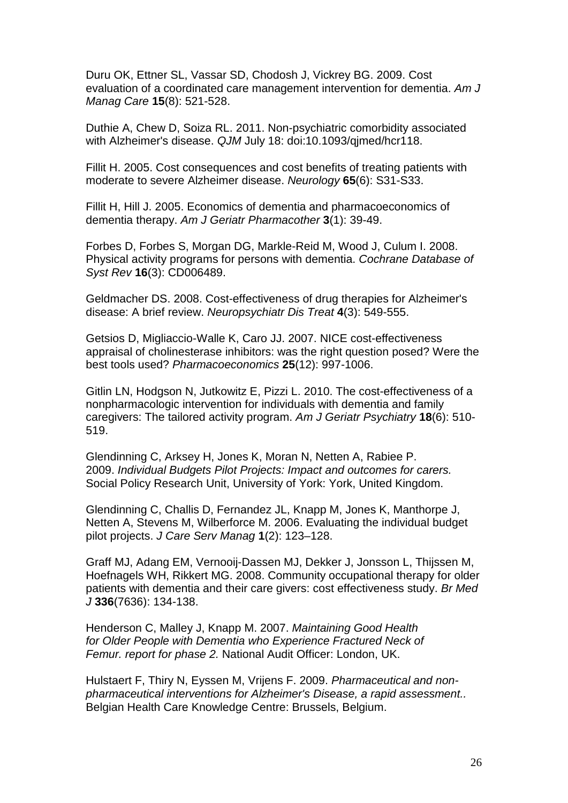Duru OK, Ettner SL, Vassar SD, Chodosh J, Vickrey BG. 2009. Cost evaluation of a coordinated care management intervention for dementia. *Am J Manag Care* **15**(8): 521-528.

Duthie A, Chew D, Soiza RL. 2011. Non-psychiatric comorbidity associated with Alzheimer's disease. *QJM* July 18: doi:10.1093/qjmed/hcr118.

Fillit H. 2005. Cost consequences and cost benefits of treating patients with moderate to severe Alzheimer disease. *Neurology* **65**(6): S31-S33.

Fillit H, Hill J. 2005. Economics of dementia and pharmacoeconomics of dementia therapy. *Am J Geriatr Pharmacother* **3**(1): 39-49.

Forbes D, Forbes S, Morgan DG, Markle-Reid M, Wood J, Culum I. 2008. Physical activity programs for persons with dementia. *Cochrane Database of Syst Rev* **16**(3): CD006489.

Geldmacher DS. 2008. Cost-effectiveness of drug therapies for Alzheimer's disease: A brief review. *Neuropsychiatr Dis Treat* **4**(3): 549-555.

Getsios D, Migliaccio-Walle K, Caro JJ. 2007. NICE cost-effectiveness appraisal of cholinesterase inhibitors: was the right question posed? Were the best tools used? *Pharmacoeconomics* **25**(12): 997-1006.

Gitlin LN, Hodgson N, Jutkowitz E, Pizzi L. 2010. The cost-effectiveness of a nonpharmacologic intervention for individuals with dementia and family caregivers: The tailored activity program. *Am J Geriatr Psychiatry* **18**(6): 510- 519.

[Glendinning C,](http://php.york.ac.uk/inst/spru/profiles/cg.php) [Arksey H,](http://php.york.ac.uk/inst/spru/profiles/ha.php) Jones K, [Moran N,](http://php.york.ac.uk/inst/spru/profiles/nm.php) Netten A, [Rabiee P.](http://php.york.ac.uk/inst/spru/profiles/pr.php) 2009. *Individual Budgets Pilot Projects: Impact and outcomes for carers.* Social Policy Research Unit, University of York: York, United Kingdom.

Glendinning C, Challis D, Fernandez JL, Knapp M, Jones K, Manthorpe J, Netten A, Stevens M, Wilberforce M. 2006. Evaluating the individual budget pilot projects. *J Care Serv Manag* **1**(2): 123–128.

Graff MJ, Adang EM, Vernooij-Dassen MJ, Dekker J, Jonsson L, Thijssen M, Hoefnagels WH, Rikkert MG. 2008. Community occupational therapy for older patients with dementia and their care givers: cost effectiveness study. *Br Med J* **336**(7636): 134-138.

Henderson C, Malley J, Knapp M. 2007. *Maintaining Good Health for Older People with Dementia who Experience Fractured Neck of Femur. report for phase 2.* National Audit Officer: London, UK.

Hulstaert F, Thiry N, Eyssen M, Vrijens F. 2009. *Pharmaceutical and nonpharmaceutical interventions for Alzheimer's Disease, a rapid assessment..* Belgian Health Care Knowledge Centre: Brussels, Belgium.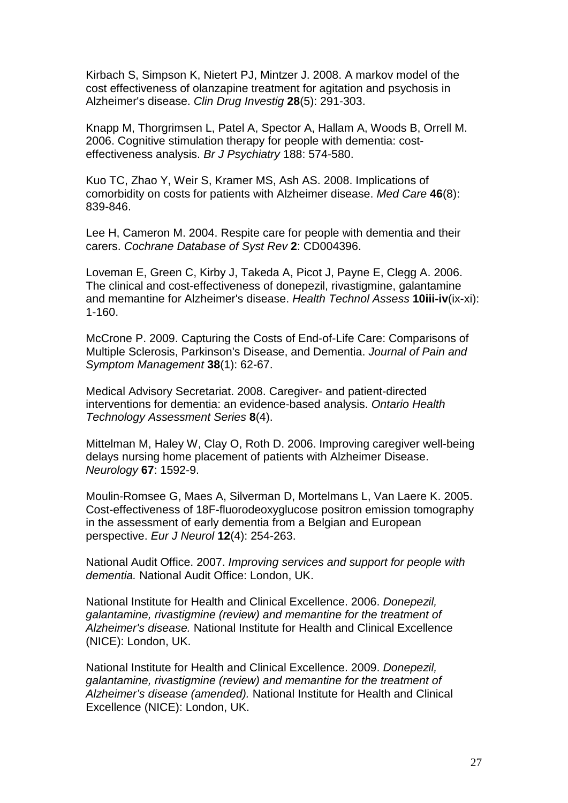Kirbach S, Simpson K, Nietert PJ, Mintzer J. 2008. A markov model of the cost effectiveness of olanzapine treatment for agitation and psychosis in Alzheimer's disease. *Clin Drug Investig* **28**(5): 291-303.

Knapp M, Thorgrimsen L, Patel A, Spector A, Hallam A, Woods B, Orrell M. 2006. Cognitive stimulation therapy for people with dementia: costeffectiveness analysis. *Br J Psychiatry* 188: 574-580.

Kuo TC, Zhao Y, Weir S, Kramer MS, Ash AS. 2008. Implications of comorbidity on costs for patients with Alzheimer disease. *Med Care* **46**(8): 839-846.

Lee H, Cameron M. 2004. Respite care for people with dementia and their carers. *Cochrane Database of Syst Rev* **2**: CD004396.

Loveman E, Green C, Kirby J, Takeda A, Picot J, Payne E, Clegg A. 2006. The clinical and cost-effectiveness of donepezil, rivastigmine, galantamine and memantine for Alzheimer's disease. *Health Technol Assess* **10iii-iv**(ix-xi): 1-160.

McCrone P. 2009. Capturing the Costs of End-of-Life Care: Comparisons of Multiple Sclerosis, Parkinson's Disease, and Dementia. *Journal of Pain and Symptom Management* **38**(1): 62-67.

Medical Advisory Secretariat. 2008. Caregiver- and patient-directed interventions for dementia: an evidence-based analysis. *Ontario Health Technology Assessment Series* **8**(4).

Mittelman M, Haley W, Clay O, Roth D. 2006. Improving caregiver well-being delays nursing home placement of patients with Alzheimer Disease. *Neurology* **67**: 1592-9.

Moulin-Romsee G, Maes A, Silverman D, Mortelmans L, Van Laere K. 2005. Cost-effectiveness of 18F-fluorodeoxyglucose positron emission tomography in the assessment of early dementia from a Belgian and European perspective. *Eur J Neurol* **12**(4): 254-263.

National Audit Office. 2007. *Improving services and support for people with dementia.* National Audit Office: London, UK.

National Institute for Health and Clinical Excellence. 2006. *Donepezil, galantamine, rivastigmine (review) and memantine for the treatment of Alzheimer's disease.* National Institute for Health and Clinical Excellence (NICE): London, UK.

National Institute for Health and Clinical Excellence. 2009. *Donepezil, galantamine, rivastigmine (review) and memantine for the treatment of Alzheimer's disease (amended).* National Institute for Health and Clinical Excellence (NICE): London, UK.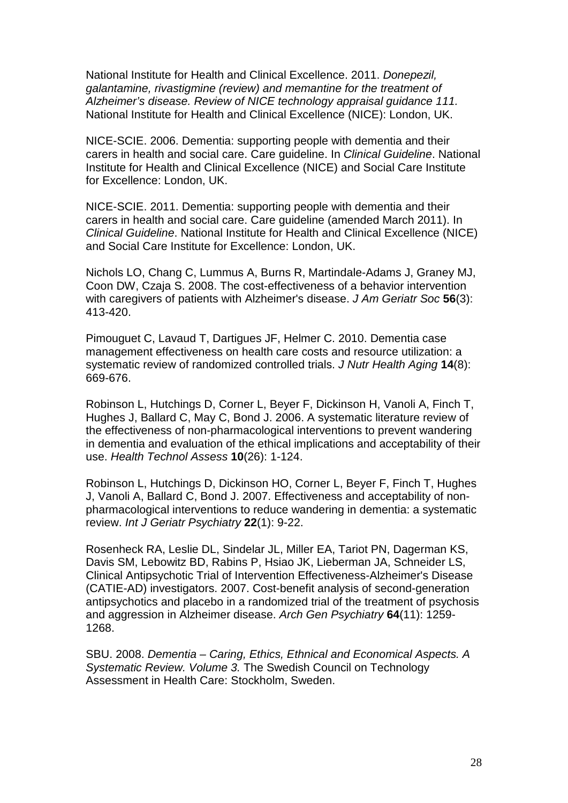National Institute for Health and Clinical Excellence. 2011. *Donepezil, galantamine, rivastigmine (review) and memantine for the treatment of Alzheimer's disease. Review of NICE technology appraisal guidance 111.*  National Institute for Health and Clinical Excellence (NICE): London, UK.

NICE-SCIE. 2006. Dementia: supporting people with dementia and their carers in health and social care. Care guideline. In *Clinical Guideline*. National Institute for Health and Clinical Excellence (NICE) and Social Care Institute for Excellence: London, UK.

NICE-SCIE. 2011. Dementia: supporting people with dementia and their carers in health and social care. Care guideline (amended March 2011). In *Clinical Guideline*. National Institute for Health and Clinical Excellence (NICE) and Social Care Institute for Excellence: London, UK.

Nichols LO, Chang C, Lummus A, Burns R, Martindale-Adams J, Graney MJ, Coon DW, Czaja S. 2008. The cost-effectiveness of a behavior intervention with caregivers of patients with Alzheimer's disease. *J Am Geriatr Soc* **56**(3): 413-420.

Pimouguet C, Lavaud T, Dartigues JF, Helmer C. 2010. Dementia case management effectiveness on health care costs and resource utilization: a systematic review of randomized controlled trials. *J Nutr Health Aging* **14**(8): 669-676.

Robinson L, Hutchings D, Corner L, Beyer F, Dickinson H, Vanoli A, Finch T, Hughes J, Ballard C, May C, Bond J. 2006. A systematic literature review of the effectiveness of non-pharmacological interventions to prevent wandering in dementia and evaluation of the ethical implications and acceptability of their use. *Health Technol Assess* **10**(26): 1-124.

Robinson L, Hutchings D, Dickinson HO, Corner L, Beyer F, Finch T, Hughes J, Vanoli A, Ballard C, Bond J. 2007. Effectiveness and acceptability of nonpharmacological interventions to reduce wandering in dementia: a systematic review. *Int J Geriatr Psychiatry* **22**(1): 9-22.

Rosenheck RA, Leslie DL, Sindelar JL, Miller EA, Tariot PN, Dagerman KS, Davis SM, Lebowitz BD, Rabins P, Hsiao JK, Lieberman JA, Schneider LS, Clinical Antipsychotic Trial of Intervention Effectiveness-Alzheimer's Disease (CATIE-AD) investigators. 2007. Cost-benefit analysis of second-generation antipsychotics and placebo in a randomized trial of the treatment of psychosis and aggression in Alzheimer disease. *Arch Gen Psychiatry* **64**(11): 1259- 1268.

SBU. 2008. *Dementia – Caring, Ethics, Ethnical and Economical Aspects. A Systematic Review. Volume 3.* The Swedish Council on Technology Assessment in Health Care: Stockholm, Sweden.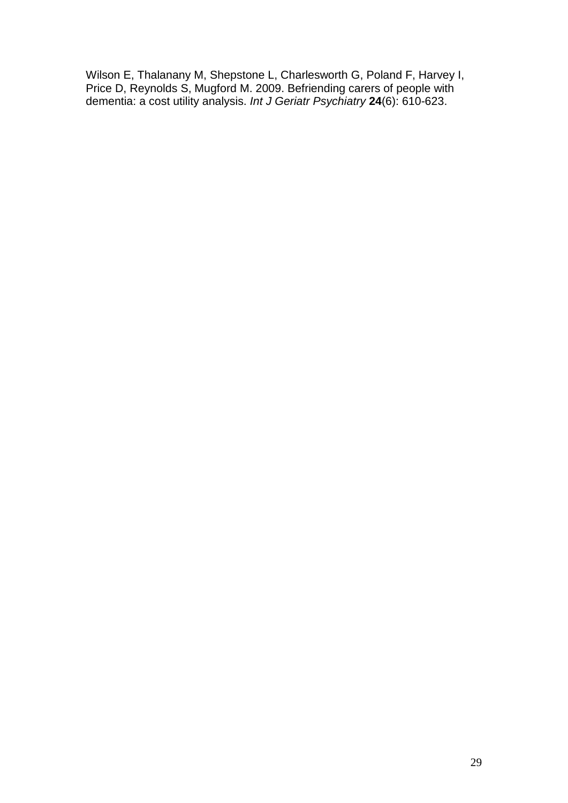Wilson E, Thalanany M, Shepstone L, Charlesworth G, Poland F, Harvey I, Price D, Reynolds S, Mugford M. 2009. Befriending carers of people with dementia: a cost utility analysis. *Int J Geriatr Psychiatry* **24**(6): 610-623.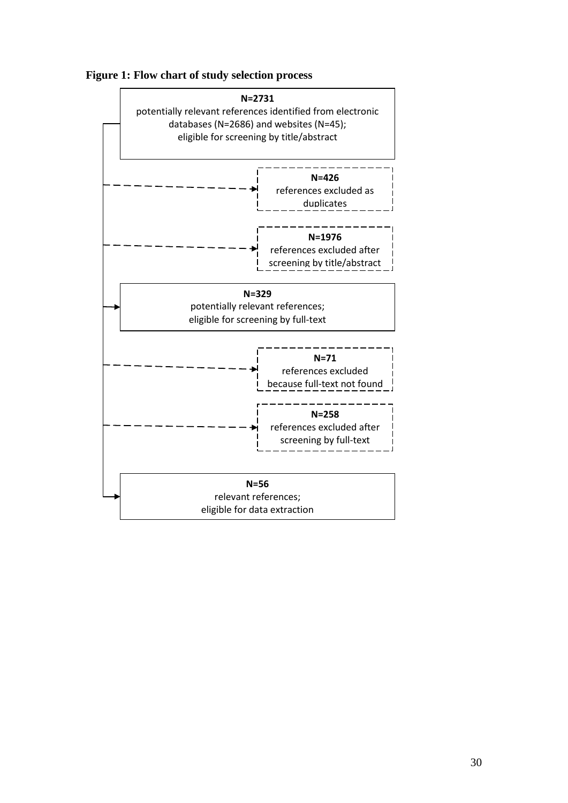

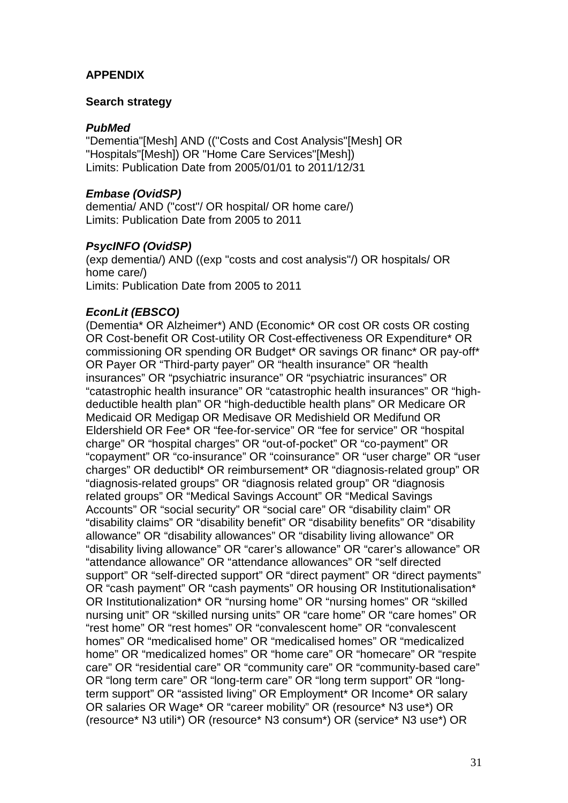# **APPENDIX**

# **Search strategy**

# *PubMed*

"Dementia"[Mesh] AND (("Costs and Cost Analysis"[Mesh] OR "Hospitals"[Mesh]) OR "Home Care Services"[Mesh]) Limits: Publication Date from 2005/01/01 to 2011/12/31

# *Embase (OvidSP)*

dementia/ AND ("cost"/ OR hospital/ OR home care/) Limits: Publication Date from 2005 to 2011

# *PsycINFO (OvidSP)*

(exp dementia/) AND ((exp "costs and cost analysis"/) OR hospitals/ OR home care/) Limits: Publication Date from 2005 to 2011

# *EconLit (EBSCO)*

(Dementia\* OR Alzheimer\*) AND (Economic\* OR cost OR costs OR costing OR Cost-benefit OR Cost-utility OR Cost-effectiveness OR Expenditure\* OR commissioning OR spending OR Budget\* OR savings OR financ\* OR pay-off\* OR Payer OR "Third-party payer" OR "health insurance" OR "health insurances" OR "psychiatric insurance" OR "psychiatric insurances" OR "catastrophic health insurance" OR "catastrophic health insurances" OR "highdeductible health plan" OR "high-deductible health plans" OR Medicare OR Medicaid OR Medigap OR Medisave OR Medishield OR Medifund OR Eldershield OR Fee\* OR "fee-for-service" OR "fee for service" OR "hospital charge" OR "hospital charges" OR "out-of-pocket" OR "co-payment" OR "copayment" OR "co-insurance" OR "coinsurance" OR "user charge" OR "user charges" OR deductibl\* OR reimbursement\* OR "diagnosis-related group" OR "diagnosis-related groups" OR "diagnosis related group" OR "diagnosis related groups" OR "Medical Savings Account" OR "Medical Savings Accounts" OR "social security" OR "social care" OR "disability claim" OR "disability claims" OR "disability benefit" OR "disability benefits" OR "disability allowance" OR "disability allowances" OR "disability living allowance" OR "disability living allowance" OR "carer's allowance" OR "carer's allowance" OR "attendance allowance" OR "attendance allowances" OR "self directed support" OR "self-directed support" OR "direct payment" OR "direct payments" OR "cash payment" OR "cash payments" OR housing OR Institutionalisation\* OR Institutionalization\* OR "nursing home" OR "nursing homes" OR "skilled nursing unit" OR "skilled nursing units" OR "care home" OR "care homes" OR "rest home" OR "rest homes" OR "convalescent home" OR "convalescent homes" OR "medicalised home" OR "medicalised homes" OR "medicalized home" OR "medicalized homes" OR "home care" OR "homecare" OR "respite care" OR "residential care" OR "community care" OR "community-based care" OR "long term care" OR "long-term care" OR "long term support" OR "longterm support" OR "assisted living" OR Employment\* OR Income\* OR salary OR salaries OR Wage\* OR "career mobility" OR (resource\* N3 use\*) OR (resource\* N3 utili\*) OR (resource\* N3 consum\*) OR (service\* N3 use\*) OR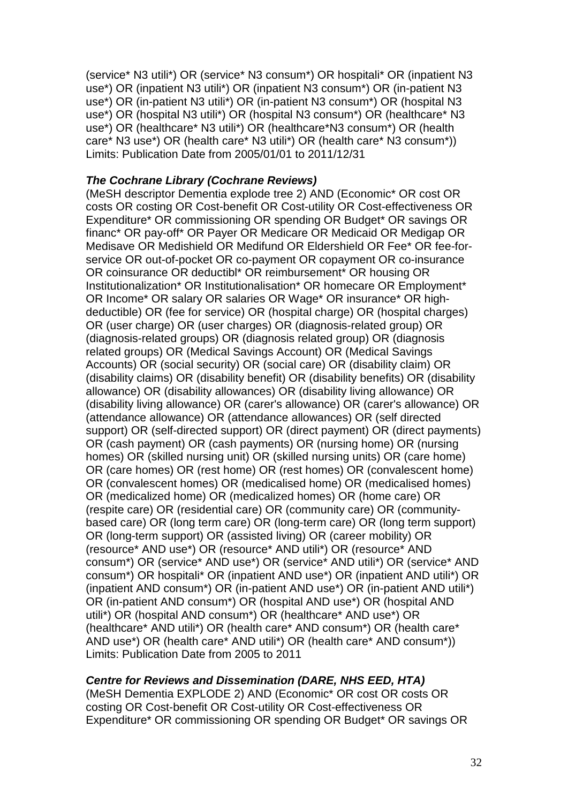(service\* N3 utili\*) OR (service\* N3 consum\*) OR hospitali\* OR (inpatient N3 use\*) OR (inpatient N3 utili\*) OR (inpatient N3 consum\*) OR (in-patient N3 use\*) OR (in-patient N3 utili\*) OR (in-patient N3 consum\*) OR (hospital N3 use\*) OR (hospital N3 utili\*) OR (hospital N3 consum\*) OR (healthcare\* N3 use\*) OR (healthcare\* N3 utili\*) OR (healthcare\*N3 consum\*) OR (health care\* N3 use\*) OR (health care\* N3 utili\*) OR (health care\* N3 consum\*)) Limits: Publication Date from 2005/01/01 to 2011/12/31

# *The Cochrane Library (Cochrane Reviews)*

(MeSH descriptor Dementia explode tree 2) AND (Economic\* OR cost OR costs OR costing OR Cost-benefit OR Cost-utility OR Cost-effectiveness OR Expenditure\* OR commissioning OR spending OR Budget\* OR savings OR financ\* OR pay-off\* OR Payer OR Medicare OR Medicaid OR Medigap OR Medisave OR Medishield OR Medifund OR Eldershield OR Fee\* OR fee-forservice OR out-of-pocket OR co-payment OR copayment OR co-insurance OR coinsurance OR deductibl\* OR reimbursement\* OR housing OR Institutionalization\* OR Institutionalisation\* OR homecare OR Employment\* OR Income\* OR salary OR salaries OR Wage\* OR insurance\* OR highdeductible) OR (fee for service) OR (hospital charge) OR (hospital charges) OR (user charge) OR (user charges) OR (diagnosis-related group) OR (diagnosis-related groups) OR (diagnosis related group) OR (diagnosis related groups) OR (Medical Savings Account) OR (Medical Savings Accounts) OR (social security) OR (social care) OR (disability claim) OR (disability claims) OR (disability benefit) OR (disability benefits) OR (disability allowance) OR (disability allowances) OR (disability living allowance) OR (disability living allowance) OR (carer's allowance) OR (carer's allowance) OR (attendance allowance) OR (attendance allowances) OR (self directed support) OR (self-directed support) OR (direct payment) OR (direct payments) OR (cash payment) OR (cash payments) OR (nursing home) OR (nursing homes) OR (skilled nursing unit) OR (skilled nursing units) OR (care home) OR (care homes) OR (rest home) OR (rest homes) OR (convalescent home) OR (convalescent homes) OR (medicalised home) OR (medicalised homes) OR (medicalized home) OR (medicalized homes) OR (home care) OR (respite care) OR (residential care) OR (community care) OR (communitybased care) OR (long term care) OR (long-term care) OR (long term support) OR (long-term support) OR (assisted living) OR (career mobility) OR (resource\* AND use\*) OR (resource\* AND utili\*) OR (resource\* AND consum\*) OR (service\* AND use\*) OR (service\* AND utili\*) OR (service\* AND consum\*) OR hospitali\* OR (inpatient AND use\*) OR (inpatient AND utili\*) OR (inpatient AND consum\*) OR (in-patient AND use\*) OR (in-patient AND utili\*) OR (in-patient AND consum\*) OR (hospital AND use\*) OR (hospital AND utili\*) OR (hospital AND consum\*) OR (healthcare\* AND use\*) OR (healthcare\* AND utili\*) OR (health care\* AND consum\*) OR (health care\* AND use\*) OR (health care\* AND utili\*) OR (health care\* AND consum\*)) Limits: Publication Date from 2005 to 2011

# *Centre for Reviews and Dissemination (DARE, NHS EED, HTA)*

(MeSH Dementia EXPLODE 2) AND (Economic\* OR cost OR costs OR costing OR Cost-benefit OR Cost-utility OR Cost-effectiveness OR Expenditure\* OR commissioning OR spending OR Budget\* OR savings OR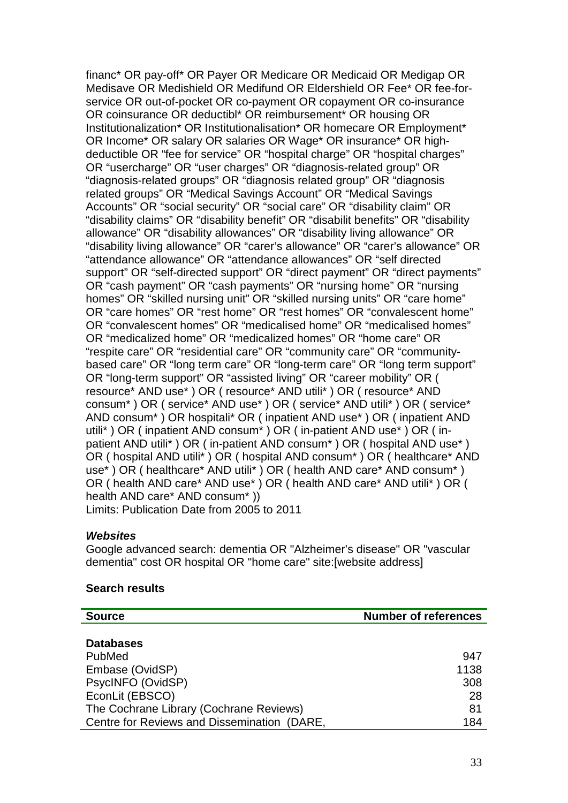financ\* OR pay-off\* OR Payer OR Medicare OR Medicaid OR Medigap OR Medisave OR Medishield OR Medifund OR Eldershield OR Fee\* OR fee-forservice OR out-of-pocket OR co-payment OR copayment OR co-insurance OR coinsurance OR deductibl\* OR reimbursement\* OR housing OR Institutionalization\* OR Institutionalisation\* OR homecare OR Employment\* OR Income\* OR salary OR salaries OR Wage\* OR insurance\* OR highdeductible OR "fee for service" OR "hospital charge" OR "hospital charges" OR "usercharge" OR "user charges" OR "diagnosis-related group" OR "diagnosis-related groups" OR "diagnosis related group" OR "diagnosis related groups" OR "Medical Savings Account" OR "Medical Savings Accounts" OR "social security" OR "social care" OR "disability claim" OR "disability claims" OR "disability benefit" OR "disabilit benefits" OR "disability allowance" OR "disability allowances" OR "disability living allowance" OR "disability living allowance" OR "carer's allowance" OR "carer's allowance" OR "attendance allowance" OR "attendance allowances" OR "self directed support" OR "self-directed support" OR "direct payment" OR "direct payments" OR "cash payment" OR "cash payments" OR "nursing home" OR "nursing homes" OR "skilled nursing unit" OR "skilled nursing units" OR "care home" OR "care homes" OR "rest home" OR "rest homes" OR "convalescent home" OR "convalescent homes" OR "medicalised home" OR "medicalised homes" OR "medicalized home" OR "medicalized homes" OR "home care" OR "respite care" OR "residential care" OR "community care" OR "communitybased care" OR "long term care" OR "long-term care" OR "long term support" OR "long-term support" OR "assisted living" OR "career mobility" OR ( resource\* AND use\* ) OR ( resource\* AND utili\* ) OR ( resource\* AND consum\* ) OR ( service\* AND use\* ) OR ( service\* AND utili\* ) OR ( service\* AND consum\* ) OR hospitali\* OR ( inpatient AND use\* ) OR ( inpatient AND utili\* ) OR ( inpatient AND consum\* ) OR ( in-patient AND use\* ) OR ( inpatient AND utili\* ) OR ( in-patient AND consum\* ) OR ( hospital AND use\* ) OR ( hospital AND utili\* ) OR ( hospital AND consum\* ) OR ( healthcare\* AND use\* ) OR ( healthcare\* AND utili\* ) OR ( health AND care\* AND consum\* ) OR ( health AND care\* AND use\* ) OR ( health AND care\* AND utili\* ) OR ( health AND care\* AND consum\* )) Limits: Publication Date from 2005 to 2011

# *Websites*

Google advanced search: dementia OR "Alzheimer's disease" OR "vascular dementia" cost OR hospital OR "home care" site:[website address]

# **Search results**

| <b>Source</b>                               | <b>Number of references</b> |
|---------------------------------------------|-----------------------------|
|                                             |                             |
| <b>Databases</b>                            |                             |
| PubMed                                      | 947                         |
| Embase (OvidSP)                             | 1138                        |
| PsycINFO (OvidSP)                           | 308                         |
| EconLit (EBSCO)                             | 28                          |
| The Cochrane Library (Cochrane Reviews)     | 81                          |
| Centre for Reviews and Dissemination (DARE, | 184                         |